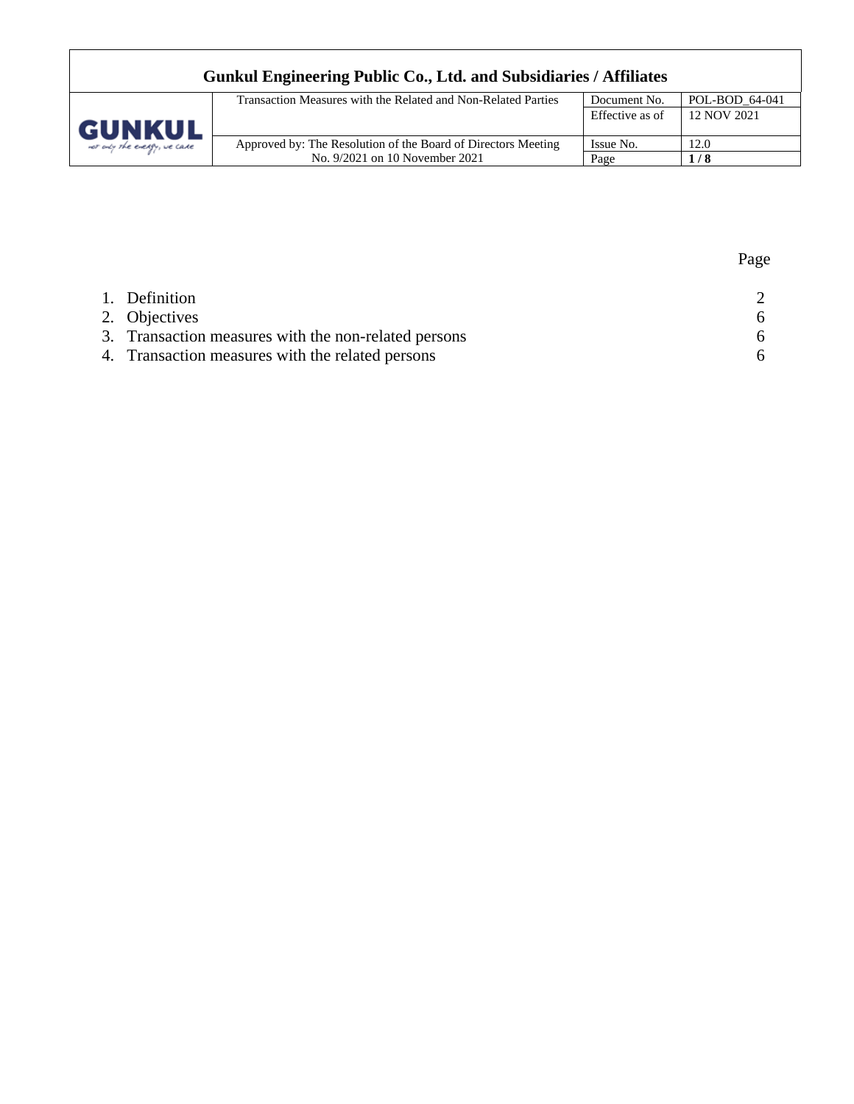|                              | Transaction Measures with the Related and Non-Related Parties | Document No.<br>Effective as of | POL-BOD 64-041<br>12 NOV 2021 |
|------------------------------|---------------------------------------------------------------|---------------------------------|-------------------------------|
| <b>GUNKUL</b>                |                                                               |                                 |                               |
| not only the energy, we care | Approved by: The Resolution of the Board of Directors Meeting | Issue No.                       | 12.0                          |
|                              | No. 9/2021 on 10 November 2021                                | Page                            | 1/8                           |

| 1. Definition                                        |   |
|------------------------------------------------------|---|
| 2. Objectives                                        | 6 |
| 3. Transaction measures with the non-related persons | 6 |
| 4. Transaction measures with the related persons     | 6 |

# Page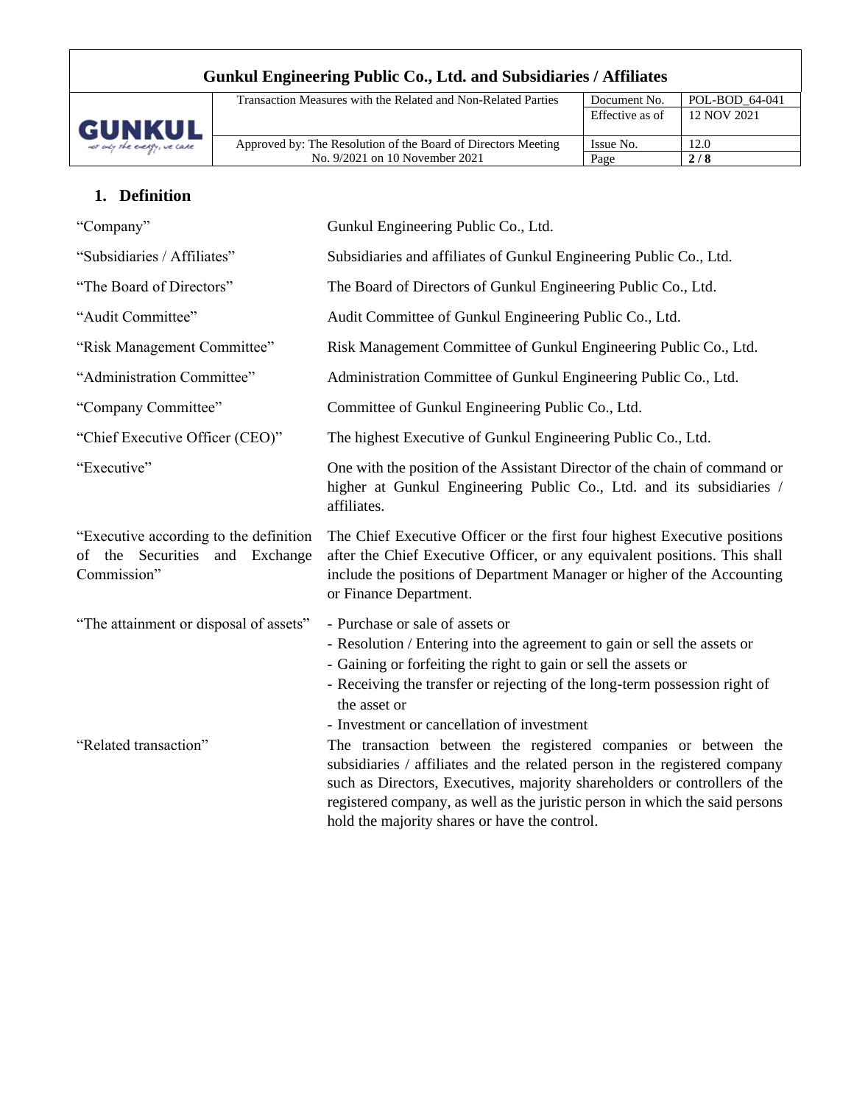

| Transaction Measures with the Related and Non-Related Parties | Document No.    | POL-BOD 64-041 |
|---------------------------------------------------------------|-----------------|----------------|
|                                                               | Effective as of | 12 NOV 2021    |
|                                                               |                 |                |
| Approved by: The Resolution of the Board of Directors Meeting | Issue No.       | 12.0           |
| No. 9/2021 on 10 November 2021                                | Page            | 2/8            |

## **1. Definition**

| "Company"                                                                                | Gunkul Engineering Public Co., Ltd.                                                                                                                                                                                                                                                                                                                                                           |
|------------------------------------------------------------------------------------------|-----------------------------------------------------------------------------------------------------------------------------------------------------------------------------------------------------------------------------------------------------------------------------------------------------------------------------------------------------------------------------------------------|
| "Subsidiaries / Affiliates"                                                              | Subsidiaries and affiliates of Gunkul Engineering Public Co., Ltd.                                                                                                                                                                                                                                                                                                                            |
| "The Board of Directors"                                                                 | The Board of Directors of Gunkul Engineering Public Co., Ltd.                                                                                                                                                                                                                                                                                                                                 |
| "Audit Committee"                                                                        | Audit Committee of Gunkul Engineering Public Co., Ltd.                                                                                                                                                                                                                                                                                                                                        |
| "Risk Management Committee"                                                              | Risk Management Committee of Gunkul Engineering Public Co., Ltd.                                                                                                                                                                                                                                                                                                                              |
| "Administration Committee"                                                               | Administration Committee of Gunkul Engineering Public Co., Ltd.                                                                                                                                                                                                                                                                                                                               |
| "Company Committee"                                                                      | Committee of Gunkul Engineering Public Co., Ltd.                                                                                                                                                                                                                                                                                                                                              |
| "Chief Executive Officer (CEO)"                                                          | The highest Executive of Gunkul Engineering Public Co., Ltd.                                                                                                                                                                                                                                                                                                                                  |
| "Executive"                                                                              | One with the position of the Assistant Director of the chain of command or<br>higher at Gunkul Engineering Public Co., Ltd. and its subsidiaries /<br>affiliates.                                                                                                                                                                                                                             |
| "Executive according to the definition"<br>of the Securities and Exchange<br>Commission" | The Chief Executive Officer or the first four highest Executive positions<br>after the Chief Executive Officer, or any equivalent positions. This shall<br>include the positions of Department Manager or higher of the Accounting<br>or Finance Department.                                                                                                                                  |
| "The attainment or disposal of assets"<br>"Related transaction"                          | - Purchase or sale of assets or<br>- Resolution / Entering into the agreement to gain or sell the assets or<br>- Gaining or forfeiting the right to gain or sell the assets or<br>- Receiving the transfer or rejecting of the long-term possession right of<br>the asset or<br>- Investment or cancellation of investment<br>The transaction between the registered companies or between the |
|                                                                                          | subsidiaries / affiliates and the related person in the registered company<br>such as Directors, Executives, majority shareholders or controllers of the<br>registered company, as well as the juristic person in which the said persons<br>hold the majority shares or have the control.                                                                                                     |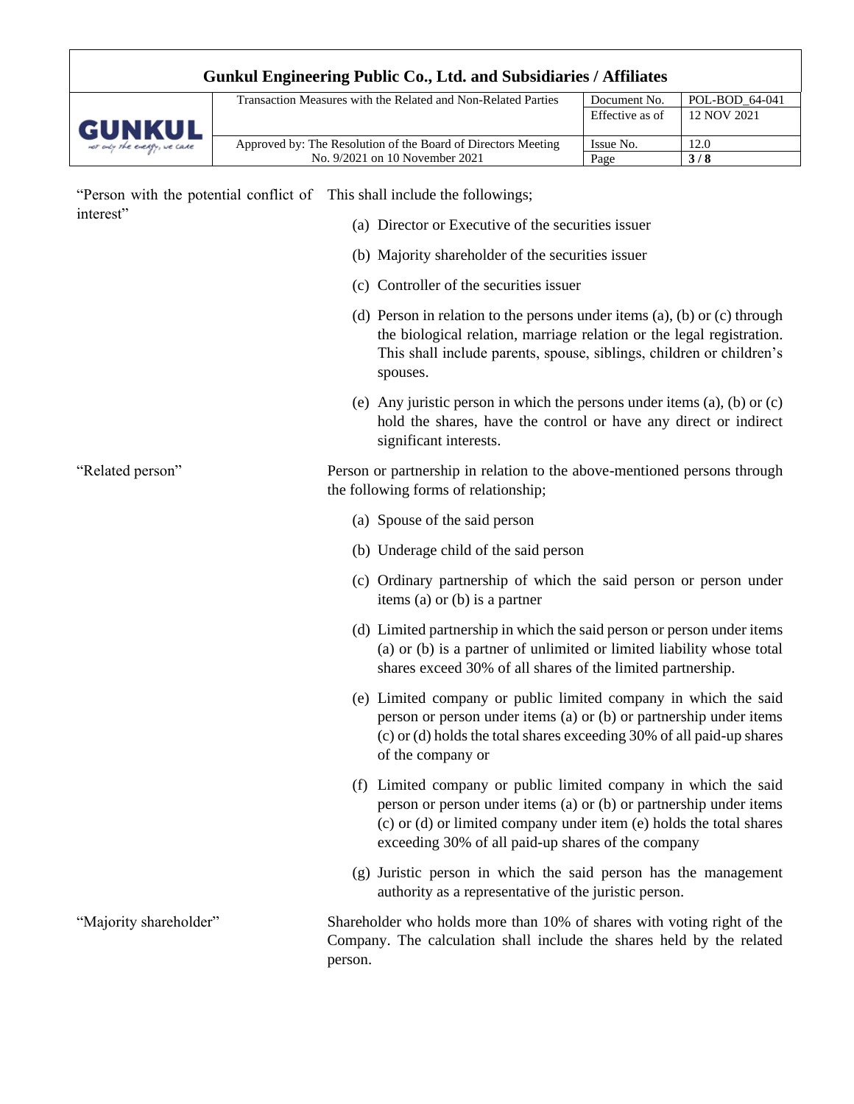|                  | <b>Gunkul Engineering Public Co., Ltd. and Subsidiaries / Affiliates</b>                                                                                                                                                                                           |                                 |                               |
|------------------|--------------------------------------------------------------------------------------------------------------------------------------------------------------------------------------------------------------------------------------------------------------------|---------------------------------|-------------------------------|
|                  | Transaction Measures with the Related and Non-Related Parties                                                                                                                                                                                                      | Document No.<br>Effective as of | POL-BOD_64-041<br>12 NOV 2021 |
|                  | Approved by: The Resolution of the Board of Directors Meeting<br>No. 9/2021 on 10 November 2021                                                                                                                                                                    | Issue No.<br>Page               | 12.0<br>3/8                   |
| interest"        | "Person with the potential conflict of This shall include the followings;                                                                                                                                                                                          |                                 |                               |
|                  | (a) Director or Executive of the securities issuer                                                                                                                                                                                                                 |                                 |                               |
|                  | (b) Majority shareholder of the securities issuer                                                                                                                                                                                                                  |                                 |                               |
|                  | (c) Controller of the securities issuer                                                                                                                                                                                                                            |                                 |                               |
|                  | (d) Person in relation to the persons under items (a), (b) or (c) through<br>the biological relation, marriage relation or the legal registration.<br>This shall include parents, spouse, siblings, children or children's<br>spouses.                             |                                 |                               |
|                  | (e) Any juristic person in which the persons under items (a), (b) or (c)<br>hold the shares, have the control or have any direct or indirect<br>significant interests.                                                                                             |                                 |                               |
| "Related person" | Person or partnership in relation to the above-mentioned persons through<br>the following forms of relationship;                                                                                                                                                   |                                 |                               |
|                  | (a) Spouse of the said person                                                                                                                                                                                                                                      |                                 |                               |
|                  | (b) Underage child of the said person                                                                                                                                                                                                                              |                                 |                               |
|                  | (c) Ordinary partnership of which the said person or person under<br>items (a) or (b) is a partner                                                                                                                                                                 |                                 |                               |
|                  | (d) Limited partnership in which the said person or person under items<br>(a) or (b) is a partner of unlimited or limited liability whose total<br>shares exceed 30% of all shares of the limited partnership.                                                     |                                 |                               |
|                  | (e) Limited company or public limited company in which the said<br>person or person under items (a) or (b) or partnership under items<br>(c) or (d) holds the total shares exceeding 30% of all paid-up shares<br>of the company or                                |                                 |                               |
|                  | (f) Limited company or public limited company in which the said<br>person or person under items (a) or (b) or partnership under items<br>(c) or (d) or limited company under item (e) holds the total shares<br>exceeding 30% of all paid-up shares of the company |                                 |                               |

(g) Juristic person in which the said person has the management authority as a representative of the juristic person.

"Majority shareholder" Shareholder who holds more than 10% of shares with voting right of the Company. The calculation shall include the shares held by the related person.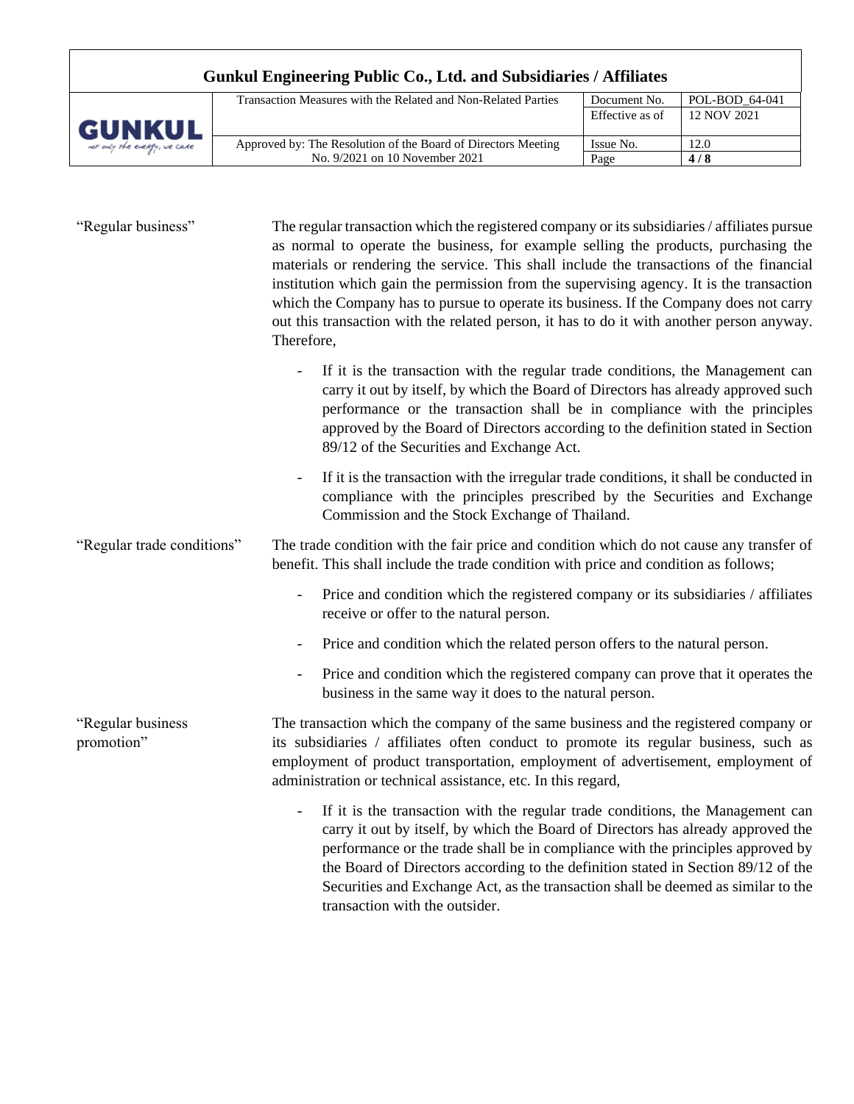

| Transaction Measures with the Related and Non-Related Parties | Document No.    | POL-BOD 64-041 |
|---------------------------------------------------------------|-----------------|----------------|
|                                                               | Effective as of | 12 NOV 2021    |
|                                                               |                 |                |
| Approved by: The Resolution of the Board of Directors Meeting | Issue No.       | 12.0           |
| No. 9/2021 on 10 November 2021                                | Page            | 4/8            |

| "Regular business"              | The regular transaction which the registered company or its subsidiaries / affiliates pursue<br>as normal to operate the business, for example selling the products, purchasing the<br>materials or rendering the service. This shall include the transactions of the financial<br>institution which gain the permission from the supervising agency. It is the transaction<br>which the Company has to pursue to operate its business. If the Company does not carry<br>out this transaction with the related person, it has to do it with another person anyway.<br>Therefore, |
|---------------------------------|----------------------------------------------------------------------------------------------------------------------------------------------------------------------------------------------------------------------------------------------------------------------------------------------------------------------------------------------------------------------------------------------------------------------------------------------------------------------------------------------------------------------------------------------------------------------------------|
|                                 | If it is the transaction with the regular trade conditions, the Management can<br>carry it out by itself, by which the Board of Directors has already approved such<br>performance or the transaction shall be in compliance with the principles<br>approved by the Board of Directors according to the definition stated in Section<br>89/12 of the Securities and Exchange Act.                                                                                                                                                                                                |
|                                 | If it is the transaction with the irregular trade conditions, it shall be conducted in<br>compliance with the principles prescribed by the Securities and Exchange<br>Commission and the Stock Exchange of Thailand.                                                                                                                                                                                                                                                                                                                                                             |
| "Regular trade conditions"      | The trade condition with the fair price and condition which do not cause any transfer of<br>benefit. This shall include the trade condition with price and condition as follows;                                                                                                                                                                                                                                                                                                                                                                                                 |
|                                 | Price and condition which the registered company or its subsidiaries / affiliates<br>$\qquad \qquad -$<br>receive or offer to the natural person.                                                                                                                                                                                                                                                                                                                                                                                                                                |
|                                 | Price and condition which the related person offers to the natural person.                                                                                                                                                                                                                                                                                                                                                                                                                                                                                                       |
|                                 | Price and condition which the registered company can prove that it operates the<br>business in the same way it does to the natural person.                                                                                                                                                                                                                                                                                                                                                                                                                                       |
| "Regular business<br>promotion" | The transaction which the company of the same business and the registered company or<br>its subsidiaries / affiliates often conduct to promote its regular business, such as<br>employment of product transportation, employment of advertisement, employment of<br>administration or technical assistance, etc. In this regard,                                                                                                                                                                                                                                                 |
|                                 | If it is the transaction with the regular trade conditions, the Management can<br>carry it out by itself, by which the Board of Directors has already approved the<br>performance or the trade shall be in compliance with the principles approved by<br>the Board of Directors according to the definition stated in Section 89/12 of the<br>Securities and Exchange Act, as the transaction shall be deemed as similar to the<br>transaction with the outsider.                                                                                                                |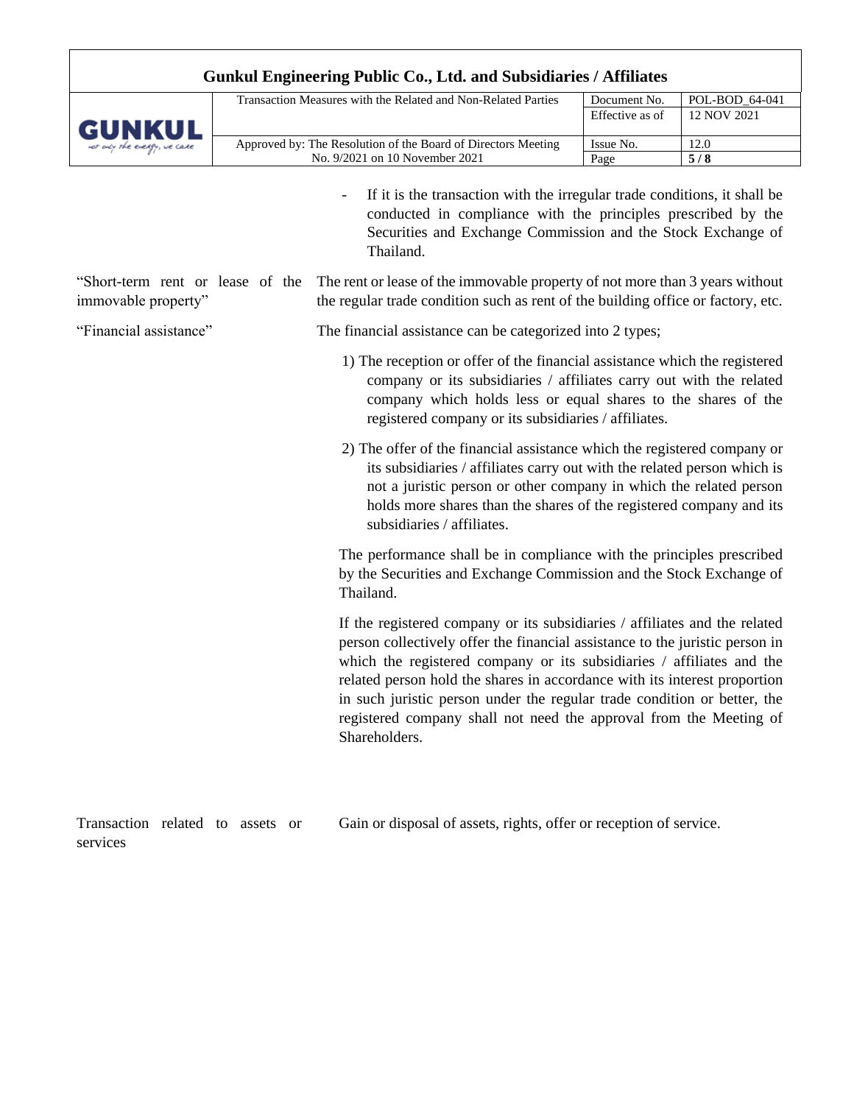|                                                         | Transaction Measures with the Related and Non-Related Parties                                                                                                                                                                                                                                                                                                                                                                                                                       | Document No.<br>Effective as of | POL-BOD_64-041<br>12 NOV 2021 |
|---------------------------------------------------------|-------------------------------------------------------------------------------------------------------------------------------------------------------------------------------------------------------------------------------------------------------------------------------------------------------------------------------------------------------------------------------------------------------------------------------------------------------------------------------------|---------------------------------|-------------------------------|
|                                                         | Approved by: The Resolution of the Board of Directors Meeting                                                                                                                                                                                                                                                                                                                                                                                                                       | Issue No.                       | 12.0                          |
|                                                         | No. 9/2021 on 10 November 2021                                                                                                                                                                                                                                                                                                                                                                                                                                                      | Page                            | 5/8                           |
|                                                         | If it is the transaction with the irregular trade conditions, it shall be<br>conducted in compliance with the principles prescribed by the<br>Securities and Exchange Commission and the Stock Exchange of<br>Thailand.                                                                                                                                                                                                                                                             |                                 |                               |
| "Short-term rent or lease of the<br>immovable property" | The rent or lease of the immovable property of not more than 3 years without<br>the regular trade condition such as rent of the building office or factory, etc.                                                                                                                                                                                                                                                                                                                    |                                 |                               |
| "Financial assistance"                                  | The financial assistance can be categorized into 2 types;                                                                                                                                                                                                                                                                                                                                                                                                                           |                                 |                               |
|                                                         | 1) The reception or offer of the financial assistance which the registered<br>company or its subsidiaries / affiliates carry out with the related<br>company which holds less or equal shares to the shares of the<br>registered company or its subsidiaries / affiliates.                                                                                                                                                                                                          |                                 |                               |
|                                                         | 2) The offer of the financial assistance which the registered company or<br>its subsidiaries / affiliates carry out with the related person which is<br>not a juristic person or other company in which the related person<br>holds more shares than the shares of the registered company and its<br>subsidiaries / affiliates.                                                                                                                                                     |                                 |                               |
|                                                         | The performance shall be in compliance with the principles prescribed<br>by the Securities and Exchange Commission and the Stock Exchange of<br>Thailand.                                                                                                                                                                                                                                                                                                                           |                                 |                               |
|                                                         | If the registered company or its subsidiaries / affiliates and the related<br>person collectively offer the financial assistance to the juristic person in<br>which the registered company or its subsidiaries / affiliates and the<br>related person hold the shares in accordance with its interest proportion<br>in such juristic person under the regular trade condition or better, the<br>registered company shall not need the approval from the Meeting of<br>Shareholders. |                                 |                               |

| Transaction related to assets or |  |  | Gain or disposal of assets, rights, offer or reception of service. |
|----------------------------------|--|--|--------------------------------------------------------------------|
| services                         |  |  |                                                                    |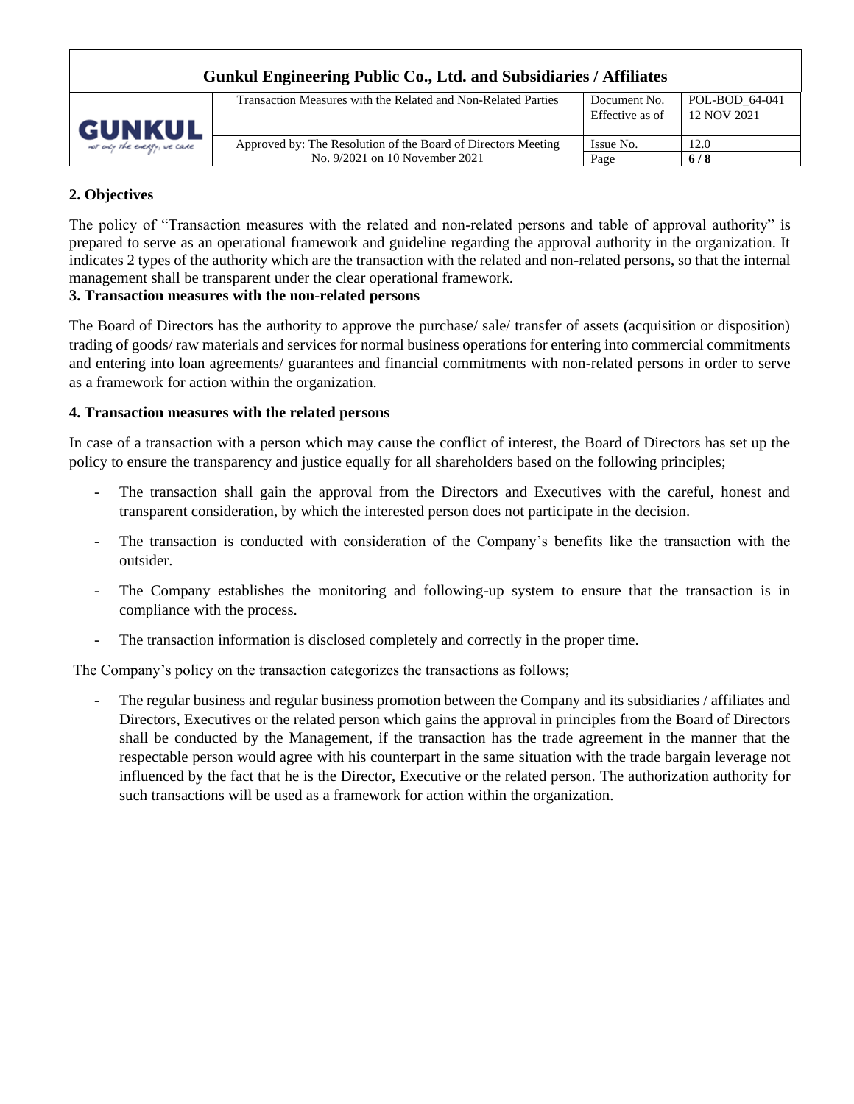| Transaction Measures with the Related and Non-Related Parties | Document No.    | POL-BOD 64-041 |
|---------------------------------------------------------------|-----------------|----------------|
|                                                               | Effective as of | 12 NOV 2021    |
|                                                               |                 |                |
| Approved by: The Resolution of the Board of Directors Meeting | Issue No.       | 12.0           |
| No. 9/2021 on 10 November 2021                                | Page            | 6/8            |

#### **2. Objectives**

The policy of "Transaction measures with the related and non-related persons and table of approval authority" is prepared to serve as an operational framework and guideline regarding the approval authority in the organization. It indicates 2 types of the authority which are the transaction with the related and non-related persons, so that the internal management shall be transparent under the clear operational framework.

#### **3. Transaction measures with the non-related persons**

The Board of Directors has the authority to approve the purchase/ sale/ transfer of assets (acquisition or disposition) trading of goods/ raw materials and services for normal business operations for entering into commercial commitments and entering into loan agreements/ guarantees and financial commitments with non-related persons in order to serve as a framework for action within the organization.

#### **4. Transaction measures with the related persons**

In case of a transaction with a person which may cause the conflict of interest, the Board of Directors has set up the policy to ensure the transparency and justice equally for all shareholders based on the following principles;

- The transaction shall gain the approval from the Directors and Executives with the careful, honest and transparent consideration, by which the interested person does not participate in the decision.
- The transaction is conducted with consideration of the Company's benefits like the transaction with the outsider.
- The Company establishes the monitoring and following-up system to ensure that the transaction is in compliance with the process.
- The transaction information is disclosed completely and correctly in the proper time.

The Company's policy on the transaction categorizes the transactions as follows;

The regular business and regular business promotion between the Company and its subsidiaries / affiliates and Directors, Executives or the related person which gains the approval in principles from the Board of Directors shall be conducted by the Management, if the transaction has the trade agreement in the manner that the respectable person would agree with his counterpart in the same situation with the trade bargain leverage not influenced by the fact that he is the Director, Executive or the related person. The authorization authority for such transactions will be used as a framework for action within the organization.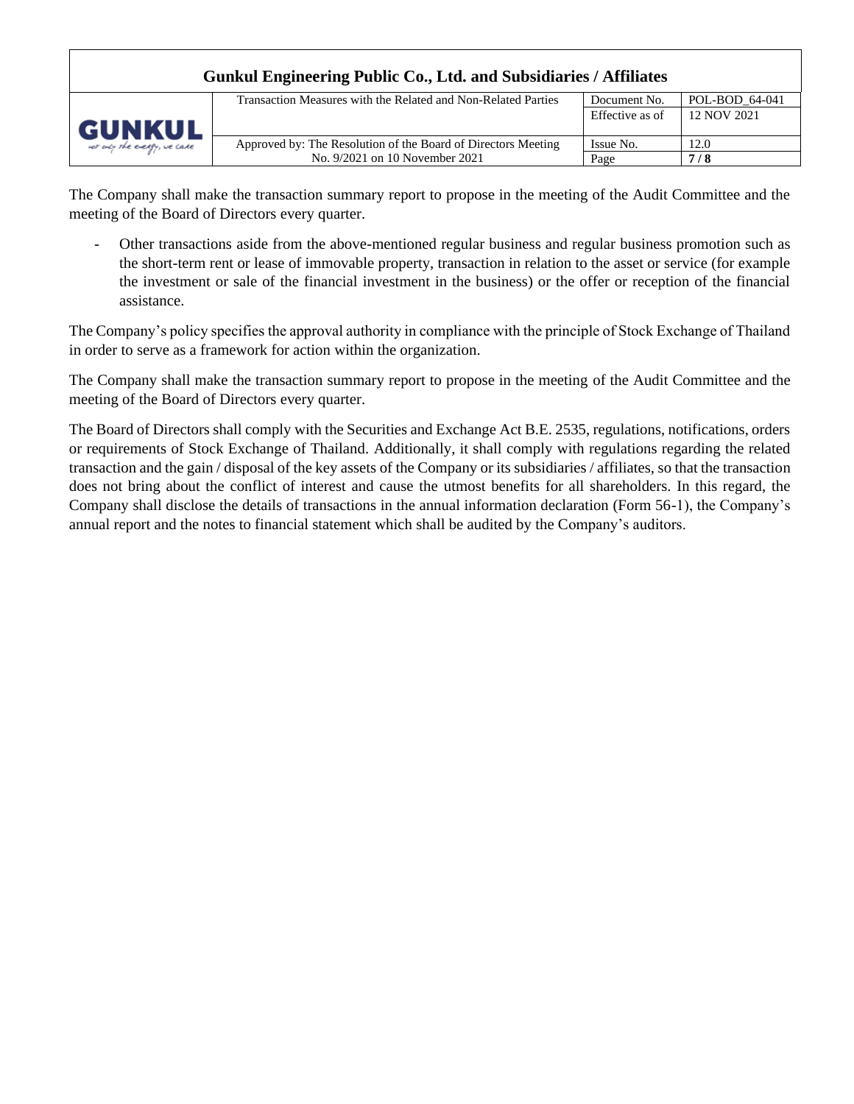| JNKUL                  | Transaction Measures with the Related and Non-Related Parties | Document No.<br>Effective as of | POL-BOD 64-041<br>12 NOV 2021 |
|------------------------|---------------------------------------------------------------|---------------------------------|-------------------------------|
| су тће енелду, ие сале | Approved by: The Resolution of the Board of Directors Meeting | Issue No.                       | 12.0                          |
|                        | No. 9/2021 on 10 November 2021                                | Page                            | 7/8                           |

The Company shall make the transaction summary report to propose in the meeting of the Audit Committee and the meeting of the Board of Directors every quarter.

Gl

- Other transactions aside from the above-mentioned regular business and regular business promotion such as the short-term rent or lease of immovable property, transaction in relation to the asset or service (for example the investment or sale of the financial investment in the business) or the offer or reception of the financial assistance.

The Company's policy specifies the approval authority in compliance with the principle of Stock Exchange of Thailand in order to serve as a framework for action within the organization.

The Company shall make the transaction summary report to propose in the meeting of the Audit Committee and the meeting of the Board of Directors every quarter.

The Board of Directors shall comply with the Securities and Exchange Act B.E. 2535, regulations, notifications, orders or requirements of Stock Exchange of Thailand. Additionally, it shall comply with regulations regarding the related transaction and the gain / disposal of the key assets of the Company or its subsidiaries / affiliates, so that the transaction does not bring about the conflict of interest and cause the utmost benefits for all shareholders. In this regard, the Company shall disclose the details of transactions in the annual information declaration (Form 56-1), the Company's annual report and the notes to financial statement which shall be audited by the Company's auditors.